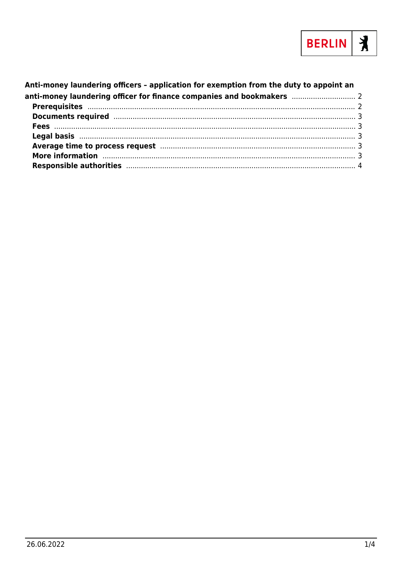

#### Anti-money laundering officers - application for exemption from the duty to appoint an anti-money laundering officer for finance companies and bookmakers ................................. 2 Documents required manufactured and the contract of the contract of the contract of the contract of the contract of the contract of the contract of the contract of the contract of the contract of the contract of the contra Average time to process request manufacture and the contract of 3 More information manufactured and the contract of the contract of the contract of the contract of the contract of the contract of the contract of the contract of the contract of the contract of the contract of the contract Responsible authorities manufactured and the control of the state of the control of the control of the control of the control of the control of the control of the control of the control of the control of the control of the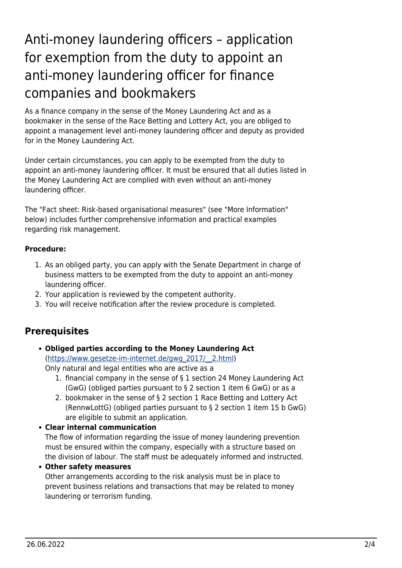# <span id="page-1-0"></span>Anti-money laundering officers – application for exemption from the duty to appoint an anti-money laundering officer for finance companies and bookmakers

As a finance company in the sense of the Money Laundering Act and as a bookmaker in the sense of the Race Betting and Lottery Act, you are obliged to appoint a management level anti-money laundering officer and deputy as provided for in the Money Laundering Act.

Under certain circumstances, you can apply to be exempted from the duty to appoint an anti-money laundering officer. It must be ensured that all duties listed in the Money Laundering Act are complied with even without an anti-money laundering officer.

The "Fact sheet: Risk-based organisational measures" (see "More Information" below) includes further comprehensive information and practical examples regarding risk management.

#### **Procedure:**

- 1. As an obliged party, you can apply with the Senate Department in charge of business matters to be exempted from the duty to appoint an anti-money laundering officer.
- 2. Your application is reviewed by the competent authority.
- 3. You will receive notification after the review procedure is completed.

## <span id="page-1-1"></span>**Prerequisites**

#### **Obliged parties according to the Money Laundering Act** ([https://www.gesetze-im-internet.de/gwg\\_2017/\\_\\_2.html](https://www.gesetze-im-internet.de/gwg_2017/__2.html))

Only natural and legal entities who are active as a

- 1. financial company in the sense of § 1 section 24 Money Laundering Act (GwG) (obliged parties pursuant to § 2 section 1 item 6 GwG) or as a
- 2. bookmaker in the sense of § 2 section 1 Race Betting and Lottery Act (RennwLottG) (obliged parties pursuant to § 2 section 1 item 15 b GwG) are eligible to submit an application.

#### **Clear internal communication**

The flow of information regarding the issue of money laundering prevention must be ensured within the company, especially with a structure based on the division of labour. The staff must be adequately informed and instructed.

#### **Other safety measures**

Other arrangements according to the risk analysis must be in place to prevent business relations and transactions that may be related to money laundering or terrorism funding.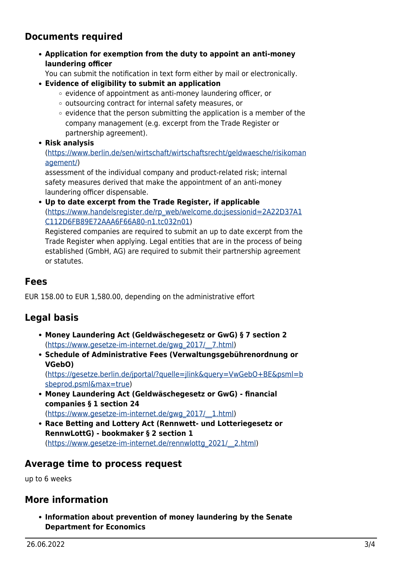### **Documents required**

**Application for exemption from the duty to appoint an anti-money laundering officer**

You can submit the notification in text form either by mail or electronically.

- **Evidence of eligibility to submit an application**
	- $\circ$  evidence of appointment as anti-money laundering officer, or
	- o outsourcing contract for internal safety measures, or
	- $\circ$  evidence that the person submitting the application is a member of the company management (e.g. excerpt from the Trade Register or partnership agreement).
- **Risk analysis**

([https://www.berlin.de/sen/wirtschaft/wirtschaftsrecht/geldwaesche/risikoman](https://www.berlin.de/sen/wirtschaft/wirtschaftsrecht/geldwaesche/risikomanagement/) [agement/\)](https://www.berlin.de/sen/wirtschaft/wirtschaftsrecht/geldwaesche/risikomanagement/)

assessment of the individual company and product-related risk; internal safety measures derived that make the appointment of an anti-money laundering officer dispensable.

**Up to date excerpt from the Trade Register, if applicable** ([https://www.handelsregister.de/rp\\_web/welcome.do;jsessionid=2A22D37A1](https://www.handelsregister.de/rp_web/welcome.do;jsessionid=2A22D37A1C112D6FB89E72AAA6F66A80-n1.tc032n01) [C112D6FB89E72AAA6F66A80-n1.tc032n01](https://www.handelsregister.de/rp_web/welcome.do;jsessionid=2A22D37A1C112D6FB89E72AAA6F66A80-n1.tc032n01))

Registered companies are required to submit an up to date excerpt from the Trade Register when applying. Legal entities that are in the process of being established (GmbH, AG) are required to submit their partnership agreement or statutes.

#### <span id="page-2-1"></span>**Fees**

EUR 158.00 to EUR 1,580.00, depending on the administrative effort

## <span id="page-2-2"></span>**Legal basis**

- **Money Laundering Act (Geldwäschegesetz or GwG) § 7 section 2** ([https://www.gesetze-im-internet.de/gwg\\_2017/\\_\\_7.html](https://www.gesetze-im-internet.de/gwg_2017/__7.html))
- **Schedule of Administrative Fees (Verwaltungsgebührenordnung or VGebO)** ([https://gesetze.berlin.de/jportal/?quelle=jlink&query=VwGebO+BE&psml=b](https://gesetze.berlin.de/jportal/?quelle=jlink&query=VwGebO+BE&psml=bsbeprod.psml&max=true) [sbeprod.psml&max=true\)](https://gesetze.berlin.de/jportal/?quelle=jlink&query=VwGebO+BE&psml=bsbeprod.psml&max=true)
- **Money Laundering Act (Geldwäschegesetz or GwG) financial companies § 1 section 24** ([https://www.gesetze-im-internet.de/gwg\\_2017/\\_\\_1.html](https://www.gesetze-im-internet.de/gwg_2017/__1.html))
- **Race Betting and Lottery Act (Rennwett- und Lotteriegesetz or RennwLottG) - bookmaker § 2 section 1** ([https://www.gesetze-im-internet.de/rennwlottg\\_2021/\\_\\_2.html](https://www.gesetze-im-internet.de/rennwlottg_2021/__2.html))

## <span id="page-2-3"></span>**Average time to process request**

up to 6 weeks

## <span id="page-2-4"></span><span id="page-2-0"></span>**More information**

**Information about prevention of money laundering by the Senate Department for Economics**